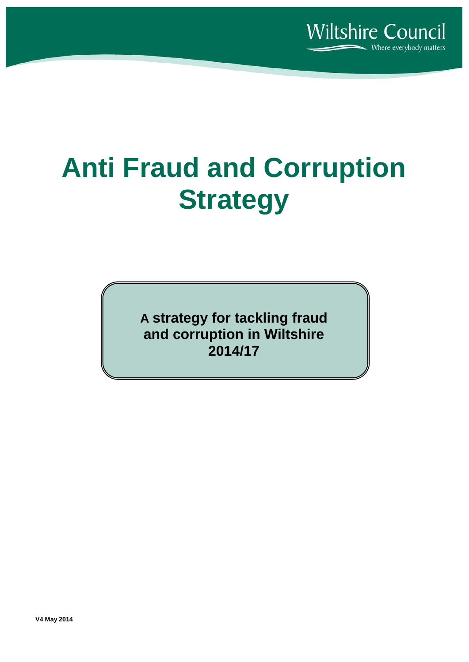

# **Anti Fraud and Corruption Strategy**

**A strategy for tackling fraud and corruption in Wiltshire 2014/17**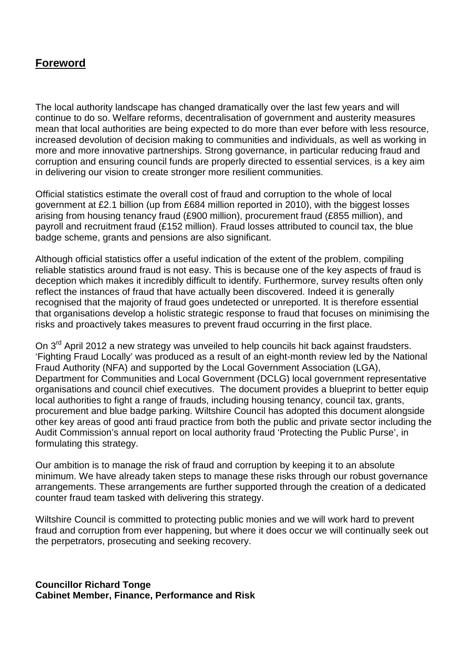# **Foreword**

The local authority landscape has changed dramatically over the last few years and will continue to do so. Welfare reforms, decentralisation of government and austerity measures mean that local authorities are being expected to do more than ever before with less resource, increased devolution of decision making to communities and individuals, as well as working in more and more innovative partnerships. Strong governance, in particular reducing fraud and corruption and ensuring council funds are properly directed to essential services, is a key aim in delivering our vision to create stronger more resilient communities.

Official statistics estimate the overall cost of fraud and corruption to the whole of local government at £2.1 billion (up from £684 million reported in 2010), with the biggest losses arising from housing tenancy fraud (£900 million), procurement fraud (£855 million), and payroll and recruitment fraud (£152 million). Fraud losses attributed to council tax, the blue badge scheme, grants and pensions are also significant.

Although official statistics offer a useful indication of the extent of the problem, compiling reliable statistics around fraud is not easy. This is because one of the key aspects of fraud is deception which makes it incredibly difficult to identify. Furthermore, survey results often only reflect the instances of fraud that have actually been discovered. Indeed it is generally recognised that the majority of fraud goes undetected or unreported. It is therefore essential that organisations develop a holistic strategic response to fraud that focuses on minimising the risks and proactively takes measures to prevent fraud occurring in the first place.

On 3<sup>rd</sup> April 2012 a new strategy was unveiled to help councils hit back against fraudsters. 'Fighting Fraud Locally' was produced as a result of an eight-month review led by the National Fraud Authority (NFA) and supported by the Local Government Association (LGA), Department for Communities and Local Government (DCLG) local government representative organisations and council chief executives. The document provides a blueprint to better equip local authorities to fight a range of frauds, including housing tenancy, council tax, grants, procurement and blue badge parking. Wiltshire Council has adopted this document alongside other key areas of good anti fraud practice from both the public and private sector including the Audit Commission's annual report on local authority fraud 'Protecting the Public Purse', in formulating this strategy.

Our ambition is to manage the risk of fraud and corruption by keeping it to an absolute minimum. We have already taken steps to manage these risks through our robust governance arrangements. These arrangements are further supported through the creation of a dedicated counter fraud team tasked with delivering this strategy.

Wiltshire Council is committed to protecting public monies and we will work hard to prevent fraud and corruption from ever happening, but where it does occur we will continually seek out the perpetrators, prosecuting and seeking recovery.

**Councillor Richard Tonge Cabinet Member, Finance, Performance and Risk**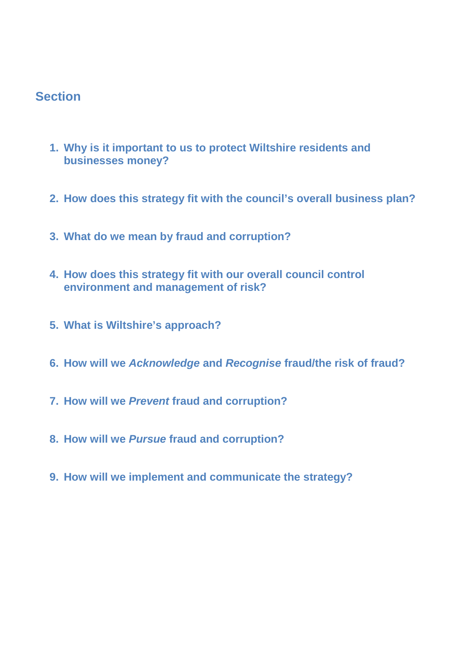# **Section**

- **1. Why is it important to us to protect Wiltshire residents and businesses money?**
- **2. How does this strategy fit with the council's overall business plan?**
- **3. What do we mean by fraud and corruption?**
- **4. How does this strategy fit with our overall council control environment and management of risk?**
- **5. What is Wiltshire's approach?**
- **6. How will we** *Acknowledge* **and** *Recognise* **fraud/the risk of fraud?**
- **7. How will we** *Prevent* **fraud and corruption?**
- **8. How will we** *Pursue* **fraud and corruption?**
- **9. How will we implement and communicate the strategy?**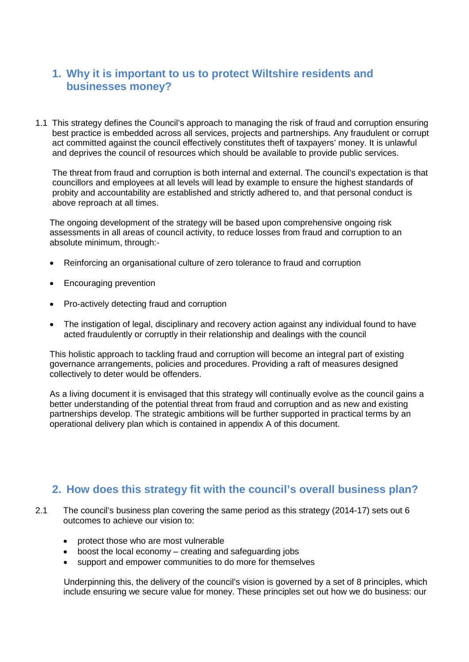# **1. Why it is important to us to protect Wiltshire residents and businesses money?**

1.1 This strategy defines the Council's approach to managing the risk of fraud and corruption ensuring best practice is embedded across all services, projects and partnerships. Any fraudulent or corrupt act committed against the council effectively constitutes theft of taxpayers' money. It is unlawful and deprives the council of resources which should be available to provide public services.

The threat from fraud and corruption is both internal and external. The council's expectation is that councillors and employees at all levels will lead by example to ensure the highest standards of probity and accountability are established and strictly adhered to, and that personal conduct is above reproach at all times.

The ongoing development of the strategy will be based upon comprehensive ongoing risk assessments in all areas of council activity, to reduce losses from fraud and corruption to an absolute minimum, through:-

- Reinforcing an organisational culture of zero tolerance to fraud and corruption
- Encouraging prevention
- Pro-actively detecting fraud and corruption
- The instigation of legal, disciplinary and recovery action against any individual found to have acted fraudulently or corruptly in their relationship and dealings with the council

This holistic approach to tackling fraud and corruption will become an integral part of existing governance arrangements, policies and procedures. Providing a raft of measures designed collectively to deter would be offenders.

As a living document it is envisaged that this strategy will continually evolve as the council gains a better understanding of the potential threat from fraud and corruption and as new and existing partnerships develop. The strategic ambitions will be further supported in practical terms by an operational delivery plan which is contained in appendix A of this document.

### **2. How does this strategy fit with the council's overall business plan?**

- 2.1 The council's business plan covering the same period as this strategy (2014-17) sets out 6 outcomes to achieve our vision to:
	- protect those who are most vulnerable
	- boost the local economy creating and safeguarding jobs
	- support and empower communities to do more for themselves

Underpinning this, the delivery of the council's vision is governed by a set of 8 principles, which include ensuring we secure value for money. These principles set out how we do business: our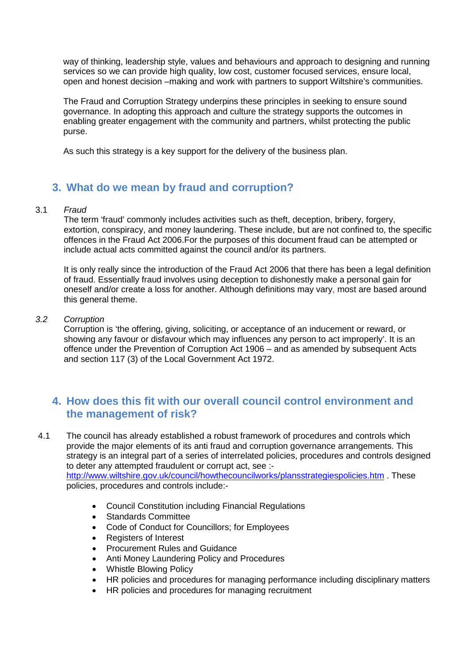way of thinking, leadership style, values and behaviours and approach to designing and running services so we can provide high quality, low cost, customer focused services, ensure local, open and honest decision –making and work with partners to support Wiltshire's communities.

The Fraud and Corruption Strategy underpins these principles in seeking to ensure sound governance. In adopting this approach and culture the strategy supports the outcomes in enabling greater engagement with the community and partners, whilst protecting the public purse.

As such this strategy is a key support for the delivery of the business plan.

# **3. What do we mean by fraud and corruption?**

#### 3.1 *Fraud*

The term 'fraud' commonly includes activities such as theft, deception, bribery, forgery, extortion, conspiracy, and money laundering. These include, but are not confined to, the specific offences in the Fraud Act 2006.For the purposes of this document fraud can be attempted or include actual acts committed against the council and/or its partners.

It is only really since the introduction of the Fraud Act 2006 that there has been a legal definition of fraud. Essentially fraud involves using deception to dishonestly make a personal gain for oneself and/or create a loss for another. Although definitions may vary, most are based around this general theme.

#### *3.2 Corruption*

Corruption is 'the offering, giving, soliciting, or acceptance of an inducement or reward, or showing any favour or disfavour which may influences any person to act improperly'. It is an offence under the Prevention of Corruption Act 1906 – and as amended by subsequent Acts and section 117 (3) of the Local Government Act 1972.

# **4. How does this fit with our overall council control environment and the management of risk?**

4.1 The council has already established a robust framework of procedures and controls which provide the major elements of its anti fraud and corruption governance arrangements. This strategy is an integral part of a series of interrelated policies, procedures and controls designed to deter any attempted fraudulent or corrupt act, see :-

<http://www.wiltshire.gov.uk/council/howthecouncilworks/plansstrategiespolicies.htm> . These policies, procedures and controls include:-

- Council Constitution including Financial Regulations
- Standards Committee
- Code of Conduct for Councillors; for Employees
- Registers of Interest
- Procurement Rules and Guidance
- Anti Money Laundering Policy and Procedures
- Whistle Blowing Policy
- HR policies and procedures for managing performance including disciplinary matters
- HR policies and procedures for managing recruitment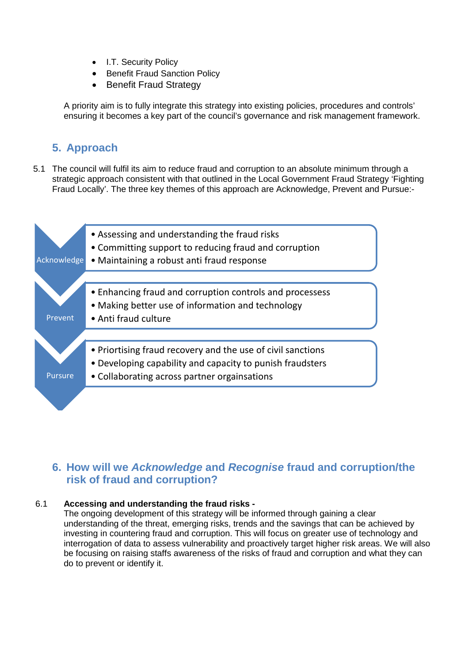- I.T. Security Policy
- Benefit Fraud Sanction Policy
- Benefit Fraud Strategy

A priority aim is to fully integrate this strategy into existing policies, procedures and controls' ensuring it becomes a key part of the council's governance and risk management framework.

# **5. Approach**

5.1 The council will fulfil its aim to reduce fraud and corruption to an absolute minimum through a strategic approach consistent with that outlined in the Local Government Fraud Strategy 'Fighting Fraud Locally'. The three key themes of this approach are Acknowledge, Prevent and Pursue:-



# **6. How will we** *Acknowledge* **and** *Recognise* **fraud and corruption/the risk of fraud and corruption?**

#### 6.1 **Accessing and understanding the fraud risks -**

The ongoing development of this strategy will be informed through gaining a clear understanding of the threat, emerging risks, trends and the savings that can be achieved by investing in countering fraud and corruption. This will focus on greater use of technology and interrogation of data to assess vulnerability and proactively target higher risk areas. We will also be focusing on raising staffs awareness of the risks of fraud and corruption and what they can do to prevent or identify it.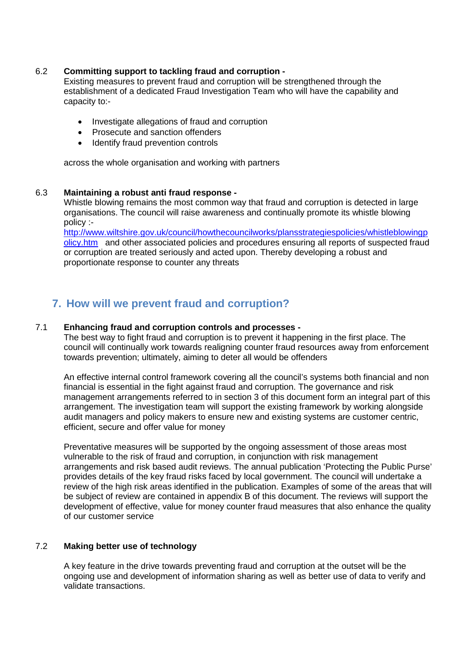#### 6.2 **Committing support to tackling fraud and corruption -**

Existing measures to prevent fraud and corruption will be strengthened through the establishment of a dedicated Fraud Investigation Team who will have the capability and capacity to:-

- Investigate allegations of fraud and corruption
- Prosecute and sanction offenders
- Identify fraud prevention controls

across the whole organisation and working with partners

#### 6.3 **Maintaining a robust anti fraud response -**

Whistle blowing remains the most common way that fraud and corruption is detected in large organisations. The council will raise awareness and continually promote its whistle blowing policy :-

[http://www.wiltshire.gov.uk/council/howthecouncilworks/plansstrategiespolicies/whistleblowingp](http://www.wiltshire.gov.uk/council/howthecouncilworks/plansstrategiespolicies/whistleblowingpolicy.htm) [olicy.htm](http://www.wiltshire.gov.uk/council/howthecouncilworks/plansstrategiespolicies/whistleblowingpolicy.htm) and other associated policies and procedures ensuring all reports of suspected fraud or corruption are treated seriously and acted upon. Thereby developing a robust and proportionate response to counter any threats

# **7. How will we prevent fraud and corruption?**

#### 7.1 **Enhancing fraud and corruption controls and processes -**

The best way to fight fraud and corruption is to prevent it happening in the first place. The council will continually work towards realigning counter fraud resources away from enforcement towards prevention; ultimately, aiming to deter all would be offenders

An effective internal control framework covering all the council's systems both financial and non financial is essential in the fight against fraud and corruption. The governance and risk management arrangements referred to in section 3 of this document form an integral part of this arrangement. The investigation team will support the existing framework by working alongside audit managers and policy makers to ensure new and existing systems are customer centric, efficient, secure and offer value for money

Preventative measures will be supported by the ongoing assessment of those areas most vulnerable to the risk of fraud and corruption, in conjunction with risk management arrangements and risk based audit reviews. The annual publication 'Protecting the Public Purse' provides details of the key fraud risks faced by local government. The council will undertake a review of the high risk areas identified in the publication. Examples of some of the areas that will be subject of review are contained in appendix B of this document. The reviews will support the development of effective, value for money counter fraud measures that also enhance the quality of our customer service

#### 7.2 **Making better use of technology**

A key feature in the drive towards preventing fraud and corruption at the outset will be the ongoing use and development of information sharing as well as better use of data to verify and validate transactions.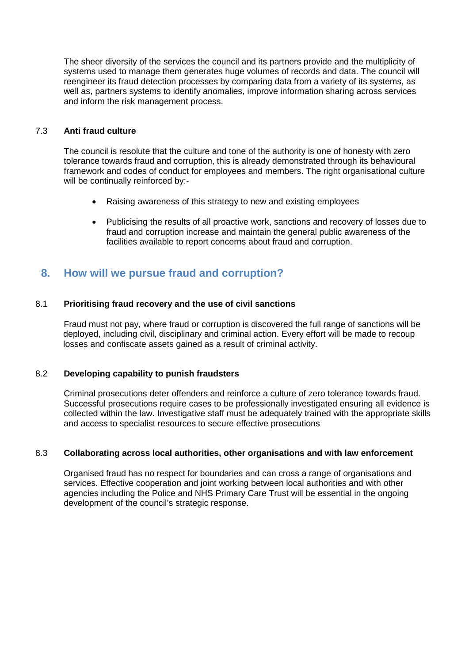The sheer diversity of the services the council and its partners provide and the multiplicity of systems used to manage them generates huge volumes of records and data. The council will reengineer its fraud detection processes by comparing data from a variety of its systems, as well as, partners systems to identify anomalies, improve information sharing across services and inform the risk management process.

#### 7.3 **Anti fraud culture**

The council is resolute that the culture and tone of the authority is one of honesty with zero tolerance towards fraud and corruption, this is already demonstrated through its behavioural framework and codes of conduct for employees and members. The right organisational culture will be continually reinforced by:-

- Raising awareness of this strategy to new and existing employees
- Publicising the results of all proactive work, sanctions and recovery of losses due to fraud and corruption increase and maintain the general public awareness of the facilities available to report concerns about fraud and corruption.

## **8. How will we pursue fraud and corruption?**

#### 8.1 **Prioritising fraud recovery and the use of civil sanctions**

Fraud must not pay, where fraud or corruption is discovered the full range of sanctions will be deployed, including civil, disciplinary and criminal action. Every effort will be made to recoup losses and confiscate assets gained as a result of criminal activity.

#### 8.2 **Developing capability to punish fraudsters**

Criminal prosecutions deter offenders and reinforce a culture of zero tolerance towards fraud. Successful prosecutions require cases to be professionally investigated ensuring all evidence is collected within the law. Investigative staff must be adequately trained with the appropriate skills and access to specialist resources to secure effective prosecutions

#### 8.3 **Collaborating across local authorities, other organisations and with law enforcement**

Organised fraud has no respect for boundaries and can cross a range of organisations and services. Effective cooperation and joint working between local authorities and with other agencies including the Police and NHS Primary Care Trust will be essential in the ongoing development of the council's strategic response.